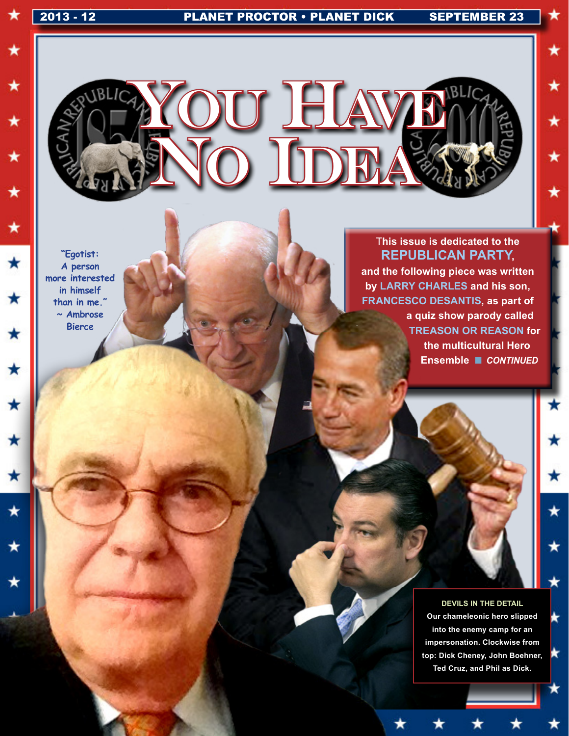★

★

★

★

 $\star$ 

★

★

 $\star$ 

 $\star$ 

 $\star$ 

 $\star$ 

 $\star$ 

 $\star$ 

 $\star$ 

★

★

★

★

\*

\*



**"Egotist: A person more interested in himself than in me." ~ Ambrose Bierce**

T**his issue is dedicated to the Republican Party, and the following piece was written**  by LARRY CHARLES and his son, **Francesco Desantis, as part of a quiz show parody called Treason Or Reason for the multicultural Hero Ensemble ■ CONTINUED** 

> **DEVILS IN THE DETAIL Our chameleonic hero slipped into the enemy camp for an impersonation. Clockwise from top: Dick Cheney, John Boehner, Ted Cruz, and Phil as Dick.**

k

×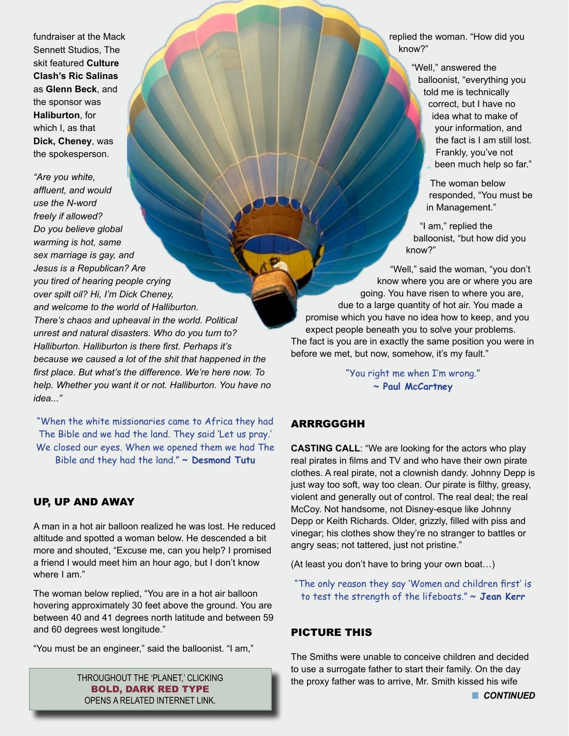fundraiser at the Mack Sennett Studios, The skit featured **Culture Clash's Ric Salinas**  as **Glenn Beck**, and the sponsor was **Haliburton**, for which I, as that **Dick, Cheney**, was the spokesperson.

*"Are you white, affluent, and would use the N-word freely if allowed? Do you believe global warming is hot, same sex marriage is gay, and Jesus is a Republican? Are you tired of hearing people crying over spilt oil? Hi, I'm Dick Cheney, and welcome to the world of Halliburton. There's chaos and upheaval in the world. Political unrest and natural disasters. Who do you turn to? Halliburton. Halliburton is there first. Perhaps it's because we caused a lot of the shit that happened in the first place. But what's the difference. We're here now. To help. Whether you want it or not. Halliburton. You have no idea..."*

"When the white missionaries came to Africa they had The Bible and we had the land. They said 'Let us pray.' We closed our eyes. When we opened them we had The Bible and they had the land." **~ Desmond Tutu**

#### UP, UP AND AWAY

A man in a hot air balloon realized he was lost. He reduced altitude and spotted a woman below. He descended a bit more and shouted, "Excuse me, can you help? I promised a friend I would meet him an hour ago, but I don't know where I am."

The woman below replied, "You are in a hot air balloon hovering approximately 30 feet above the ground. You are between 40 and 41 degrees north latitude and between 59 and 60 degrees west longitude."

"You must be an engineer," said the balloonist. "I am,"

THROUGHOUT THE 'PLANET,' CLICKING BOLD, DARK RED TYPE OPENS A RELATED INTERNET LINK.

replied the woman. "How did you know?"

> "Well," answered the balloonist, "everything you told me is technically correct, but I have no idea what to make of your information, and the fact is I am still lost. Frankly, you've not been much help so far."

> > The woman below responded, "You must be in Management."

"I am," replied the balloonist, "but how did you know?"

"Well," said the woman, "you don't know where you are or where you are going. You have risen to where you are, due to a large quantity of hot air. You made a promise which you have no idea how to keep, and you expect people beneath you to solve your problems. The fact is you are in exactly the same position you were in before we met, but now, somehow, it's my fault."

> "You right me when I'm wrong." **~ Paul McCartney**

# ARRRGGGHH

**CASTING CALL**: "We are looking for the actors who play real pirates in films and TV and who have their own pirate clothes. A real pirate, not a clownish dandy. Johnny Depp is just way too soft, way too clean. Our pirate is filthy, greasy, violent and generally out of control. The real deal; the real McCoy. Not handsome, not Disney-esque like Johnny Depp or Keith Richards. Older, grizzly, filled with piss and vinegar; his clothes show they're no stranger to battles or angry seas; not tattered, just not pristine."

(At least you don't have to bring your own boat…)

"The only reason they say 'Women and children first' is to test the strength of the lifeboats." **~ Jean Kerr**

#### PICTURE THIS

The Smiths were unable to conceive children and decided to use a surrogate father to start their family. On the day the proxy father was to arrive, Mr. Smith kissed his wife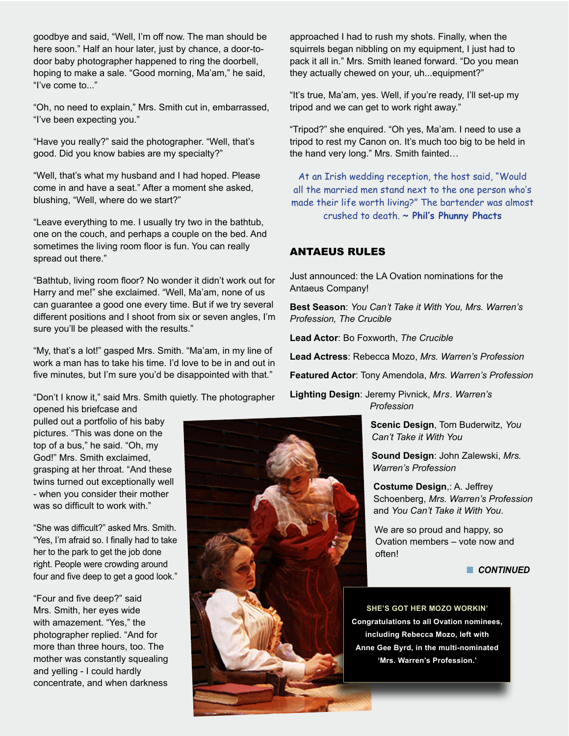goodbye and said, "Well, I'm off now. The man should be here soon." Half an hour later, just by chance, a door-todoor baby photographer happened to ring the doorbell, hoping to make a sale. "Good morning, Ma'am," he said, "I've come to..."

"Oh, no need to explain," Mrs. Smith cut in, embarrassed, "I've been expecting you."

"Have you really?" said the photographer. "Well, that's good. Did you know babies are my specialty?"

"Well, that's what my husband and I had hoped. Please come in and have a seat." After a moment she asked, blushing, "Well, where do we start?"

"Leave everything to me. I usually try two in the bathtub, one on the couch, and perhaps a couple on the bed. And sometimes the living room floor is fun. You can really spread out there."

"Bathtub, living room floor? No wonder it didn't work out for Harry and me!" she exclaimed. "Well, Ma'am, none of us can guarantee a good one every time. But if we try several different positions and I shoot from six or seven angles, I'm sure you'll be pleased with the results."

"My, that's a lot!" gasped Mrs. Smith. "Ma'am, in my line of work a man has to take his time. I'd love to be in and out in five minutes, but I'm sure you'd be disappointed with that."

"Don't I know it," said Mrs. Smith quietly. The photographer opened his briefcase and

pulled out a portfolio of his baby pictures. "This was done on the top of a bus," he said. "Oh, my God!" Mrs. Smith exclaimed, grasping at her throat. "And these twins turned out exceptionally well - when you consider their mother was so difficult to work with."

"She was difficult?" asked Mrs. Smith. "Yes, I'm afraid so. I finally had to take her to the park to get the job done right. People were crowding around four and five deep to get a good look."

"Four and five deep?" said Mrs. Smith, her eyes wide with amazement. "Yes," the photographer replied. "And for more than three hours, too. The mother was constantly squealing and yelling - I could hardly concentrate, and when darkness

approached I had to rush my shots. Finally, when the squirrels began nibbling on my equipment, I just had to pack it all in." Mrs. Smith leaned forward. "Do you mean they actually chewed on your, uh...equipment?"

"It's true, Ma'am, yes. Well, if you're ready, I'll set-up my tripod and we can get to work right away."

"Tripod?" she enquired. "Oh yes, Ma'am. I need to use a tripod to rest my Canon on. It's much too big to be held in the hand very long." Mrs. Smith fainted…

At an Irish wedding reception, the host said, "Would all the married men stand next to the one person who's made their life worth living?" The bartender was almost crushed to death. **~ Phil's Phunny Phacts**

### ANTAEUS RULES

Just announced: the LA Ovation nominations for the Antaeus Company!

**Best Season**: *You Can't Take it With You, Mrs. Warren's Profession, The Crucible*

**Lead Actor**: Bo Foxworth, *The Crucible*

**Lead Actress**: Rebecca Mozo, *Mrs. Warren's Profession*

**Featured Actor**: Tony Amendola, *Mrs. Warren's Profession*

**Lighting Design**: Jeremy Pivnick, *Mrs. Warren's Profession*

> **Scenic Design**, Tom Buderwitz, *You Can't Take it With You*

**Sound Design**: John Zalewski, *Mrs. Warren's Profession*

**Costume Design**,: A. Jeffrey Schoenberg, *Mrs. Warren's Profession*  and *You Can't Take it With You*.

We are so proud and happy, so Ovation members – vote now and often!

**n** CONTINUED

**SHE'S GOT HER MOZO WORKIN' Congratulations to all Ovation nominees, including Rebecca Mozo, left with Anne Gee Byrd, in the multi-nominated 'Mrs. Warren's Profession.'** 

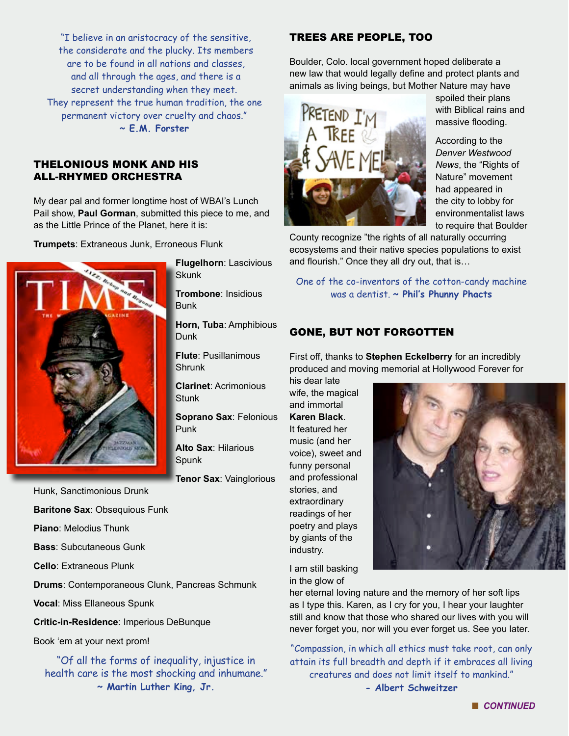"I believe in an aristocracy of the sensitive, the considerate and the plucky. Its members are to be found in all nations and classes, and all through the ages, and there is a secret understanding when they meet. They represent the true human tradition, the one permanent victory over cruelty and chaos." **~ E.M. Forster**

#### THELONIOUS MONK AND HIS ALL-RHYMED ORCHESTRA

My dear pal and former longtime host of WBAI's Lunch Pail show, **Paul Gorman**, submitted this piece to me, and as the Little Prince of the Planet, here it is:

**Trumpets**: Extraneous Junk, Erroneous Flunk



**Flugelhorn**: Lascivious **Skunk** 

**Trombone**: Insidious Bunk

**Horn, Tuba**: Amphibious Dunk

**Flute**: Pusillanimous **Shrunk** 

**Clarinet**: Acrimonious **Stunk** 

**Soprano Sax**: Felonious Punk

**Alto Sax**: Hilarious Spunk

**Tenor Sax**: Vainglorious

Hunk, Sanctimonious Drunk

**Baritone Sax**: Obsequious Funk

**Piano**: Melodius Thunk

**Bass**: Subcutaneous Gunk

**Cello**: Extraneous Plunk

**Drums**: Contemporaneous Clunk, Pancreas Schmunk

**Vocal**: Miss Ellaneous Spunk

**Critic-in-Residence**: Imperious DeBunque

Book 'em at your next prom!

"Of all the forms of inequality, injustice in health care is the most shocking and inhumane." **~ Martin Luther King, Jr.** 

#### TREES ARE PEOPLE, TOO

Boulder, Colo. local government hoped deliberate a new law that would legally define and protect plants and animals as living beings, but Mother Nature may have



spoiled their plans with Biblical rains and massive flooding.

According to the *Denver Westwood News*, the "Rights of Nature" movement had appeared in the city to lobby for environmentalist laws to require that Boulder

County recognize "the rights of all naturally occurring ecosystems and their native species populations to exist and flourish." Once they all dry out, that is…

One of the co-inventors of the cotton-candy machine was a dentist. **~ Phil's Phunny Phacts**

# GONE, BUT NOT FORGOTTEN

First off, thanks to **Stephen Eckelberry** for an incredibly produced and moving memorial at Hollywood Forever for

his dear late wife, the magical and immortal **Karen Black**. It featured her music (and her voice), sweet and funny personal and professional stories, and extraordinary readings of her poetry and plays by giants of the industry.



I am still basking in the glow of

her eternal loving nature and the memory of her soft lips as I type this. Karen, as I cry for you, I hear your laughter still and know that those who shared our lives with you will never forget you, nor will you ever forget us. See you later.

"Compassion, in which all ethics must take root, can only attain its full breadth and depth if it embraces all living creatures and does not limit itself to mankind." **- Albert Schweitzer**